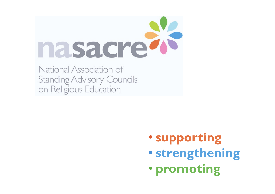

National Association of **Standing Advisory Councils** on Religious Education

- **supporting**
- **strengthening**
- **promoting**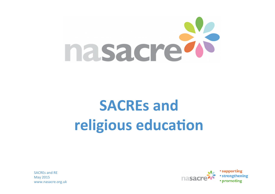

# **SACREs** and religious education

SACREs and RF May 2015 www.nasacre.org.uk

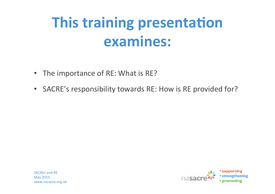# **This training presentation examines:**

- The importance of RE: What is RE?
- SACRE's responsibility towards RE: How is RE provided for?



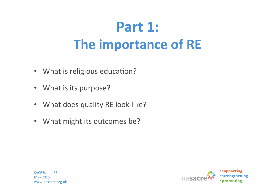# **Part 1: The importance of RE**

- What is religious education?
- What is its purpose?
- What does quality RE look like?
- What might its outcomes be?



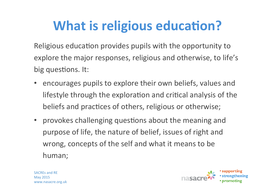# **What is religious education?**

Religious education provides pupils with the opportunity to explore the major responses, religious and otherwise, to life's big questions. It:

- encourages pupils to explore their own beliefs, values and lifestyle through the exploration and critical analysis of the beliefs and practices of others, religious or otherwise;
- provokes challenging questions about the meaning and purpose of life, the nature of belief, issues of right and wrong, concepts of the self and what it means to be human;

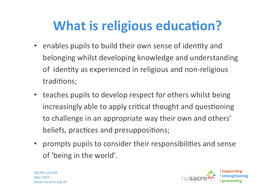# **What is religious education?**

- enables pupils to build their own sense of identity and belonging whilst developing knowledge and understanding of identity as experienced in religious and non-religious traditions;
- teaches pupils to develop respect for others whilst being increasingly able to apply critical thought and questioning to challenge in an appropriate way their own and others' beliefs, practices and presuppositions;
- prompts pupils to consider their responsibilities and sense of 'being in the world'.

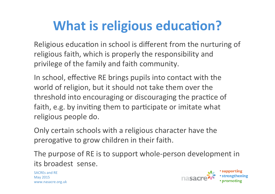# **What is religious education?**

Religious education in school is different from the nurturing of religious faith, which is properly the responsibility and privilege of the family and faith community.

In school, effective RE brings pupils into contact with the world of religion, but it should not take them over the threshold into encouraging or discouraging the practice of faith, e.g. by inviting them to participate or imitate what religious people do.

Only certain schools with a religious character have the prerogative to grow children in their faith.

The purpose of RE is to support whole-person development in its broadest sense.

SACREs and RE May 2015 www.nasacre.org.uk

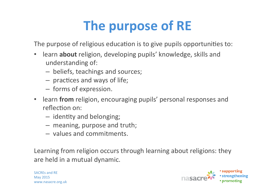# **The purpose of RE**

The purpose of religious education is to give pupils opportunities to:

- learn **about** religion, developing pupils' knowledge, skills and understanding of:
	- beliefs, teachings and sources;
	- $-$  practices and ways of life;
	- forms of expression.
- learn from religion, encouraging pupils' personal responses and reflection on:
	- $-$  identity and belonging;
	- $-$  meaning, purpose and truth;
	- values and commitments.

Learning from religion occurs through learning about religions: they are held in a mutual dynamic.

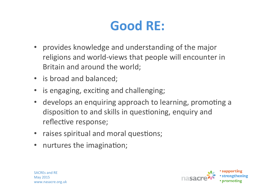#### Good RE:

- provides knowledge and understanding of the major religions and world-views that people will encounter in Britain and around the world;
- is broad and balanced;
- is engaging, exciting and challenging;
- develops an enquiring approach to learning, promoting a disposition to and skills in questioning, enquiry and reflective response;
- raises spiritual and moral questions;
- nurtures the imagination;



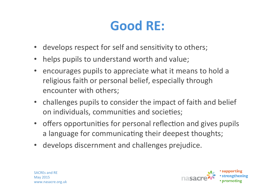#### Good RE:

- develops respect for self and sensitivity to others;
- helps pupils to understand worth and value;
- encourages pupils to appreciate what it means to hold a religious faith or personal belief, especially through encounter with others;
- challenges pupils to consider the impact of faith and belief on individuals, communities and societies;
- offers opportunities for personal reflection and gives pupils a language for communicating their deepest thoughts;
- develops discernment and challenges prejudice.

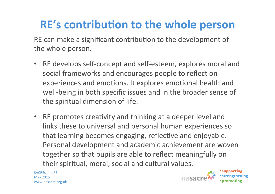#### **RE's contribution to the whole person**

RE can make a significant contribution to the development of the whole person.

- RE develops self-concept and self-esteem, explores moral and social frameworks and encourages people to reflect on experiences and emotions. It explores emotional health and well-being in both specific issues and in the broader sense of the spiritual dimension of life.
- RE promotes creativity and thinking at a deeper level and links these to universal and personal human experiences so that learning becomes engaging, reflective and enjoyable. Personal development and academic achievement are woven together so that pupils are able to reflect meaningfully on their spiritual, moral, social and cultural values.

SACREs and RF May 2015 www.nasacre.org.uk

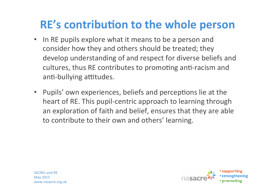#### **RE's contribution to the whole person**

- In RE pupils explore what it means to be a person and consider how they and others should be treated; they develop understanding of and respect for diverse beliefs and cultures, thus RE contributes to promoting anti-racism and anti-bullying attitudes.
- Pupils' own experiences, beliefs and perceptions lie at the heart of RE. This pupil-centric approach to learning through an exploration of faith and belief, ensures that they are able to contribute to their own and others' learning.

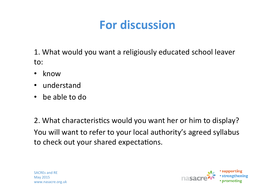#### **For discussion**

1. What would you want a religiously educated school leaver to: 

- know
- understand
- be able to do

2. What characteristics would you want her or him to display? You will want to refer to your local authority's agreed syllabus to check out your shared expectations.



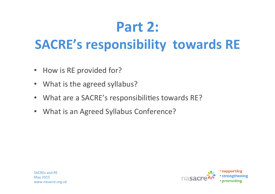# **Part 2:**

#### **SACRE's responsibility towards RE**

- How is RE provided for?
- What is the agreed syllabus?
- What are a SACRE's responsibilities towards RE?
- What is an Agreed Syllabus Conference?

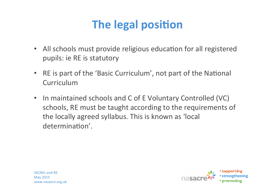#### **The legal position**

- All schools must provide religious education for all registered pupils: ie RE is statutory
- RE is part of the 'Basic Curriculum', not part of the National Curriculum
- In maintained schools and C of E Voluntary Controlled (VC) schools, RE must be taught according to the requirements of the locally agreed syllabus. This is known as 'local determination'.

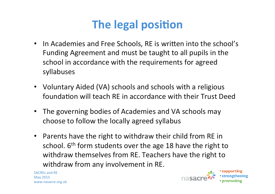#### **The legal position**

- In Academies and Free Schools, RE is written into the school's Funding Agreement and must be taught to all pupils in the school in accordance with the requirements for agreed syllabuses
- Voluntary Aided (VA) schools and schools with a religious foundation will teach RE in accordance with their Trust Deed
- The governing bodies of Academies and VA schools may choose to follow the locally agreed syllabus
- Parents have the right to withdraw their child from RE in school.  $6<sup>th</sup>$  form students over the age 18 have the right to withdraw themselves from RE. Teachers have the right to withdraw from any involvement in RE.

SACREs and RF May 2015 www.nasacre.org.uk

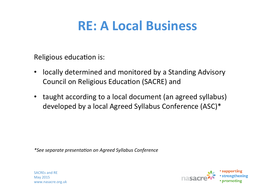#### **RE: A Local Business**

Religious education is:

- locally determined and monitored by a Standing Advisory Council on Religious Education (SACRE) and
- taught according to a local document (an agreed syllabus) developed by a local Agreed Syllabus Conference (ASC)\*

*\*See separate presenta+on on Agreed Syllabus Conference*



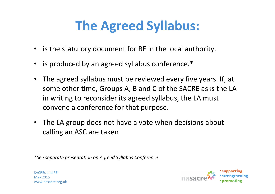#### **The Agreed Syllabus:**

- is the statutory document for RE in the local authority.
- is produced by an agreed syllabus conference.\*
- The agreed syllabus must be reviewed every five years. If, at some other time, Groups A, B and C of the SACRE asks the LA in writing to reconsider its agreed syllabus, the LA must convene a conference for that purpose.
- The LA group does not have a vote when decisions about calling an ASC are taken

*\*See separate presenta+on on Agreed Syllabus Conference*

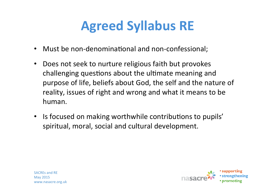# **Agreed Syllabus RE**

- Must be non-denominational and non-confessional;
- Does not seek to nurture religious faith but provokes challenging questions about the ultimate meaning and purpose of life, beliefs about God, the self and the nature of reality, issues of right and wrong and what it means to be human.
- Is focused on making worthwhile contributions to pupils' spiritual, moral, social and cultural development.



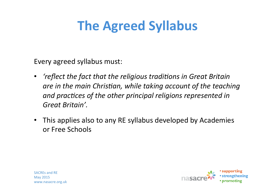#### **The Agreed Syllabus**

Every agreed syllabus must:

- *'reflect the fact that the religious traditions in Great Britain* are in the main Christian, while taking account of the teaching and practices of the other principal religions represented in Great Britain'.
- This applies also to any RE syllabus developed by Academies or Free Schools



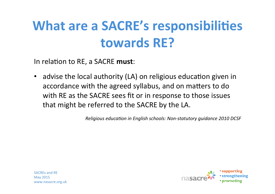## **What are a SACRE's responsibilities towards RE?**

In relation to RE, a SACRE must:

• advise the local authority (LA) on religious education given in accordance with the agreed syllabus, and on matters to do with RE as the SACRE sees fit or in response to those issues that might be referred to the SACRE by the LA.

*Religious education in English schools: Non-statutory quidance 2010 DCSF* 

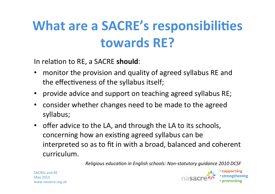# **What are a SACRE's responsibilities towards RE?**

In relation to RE, a SACRE **should**:

- monitor the provision and quality of agreed syllabus RE and the effectiveness of the syllabus itself;
- provide advice and support on teaching agreed syllabus RE;
- consider whether changes need to be made to the agreed syllabus;
- offer advice to the LA, and through the LA to its schools, concerning how an existing agreed syllabus can be interpreted so as to fit in with a broad, balanced and coherent curriculum.

*Religious education in English schools: Non-statutory guidance 2010 DCSF* 



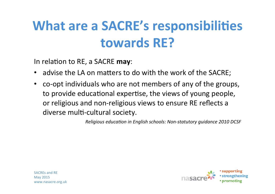## **What are a SACRE's responsibilities towards RE?**

In relation to RE, a SACRE may:

- advise the LA on matters to do with the work of the SACRE;
- co-opt individuals who are not members of any of the groups, to provide educational expertise, the views of young people, or religious and non-religious views to ensure RE reflects a diverse multi-cultural society.

*Religious education in English schools: Non-statutory quidance 2010 DCSF* 

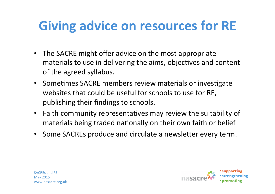### **Giving advice on resources for RE**

- The SACRE might offer advice on the most appropriate materials to use in delivering the aims, objectives and content of the agreed syllabus.
- Sometimes SACRE members review materials or investigate websites that could be useful for schools to use for RE, publishing their findings to schools.
- Faith community representatives may review the suitability of materials being traded nationally on their own faith or belief
- Some SACREs produce and circulate a newsletter every term.



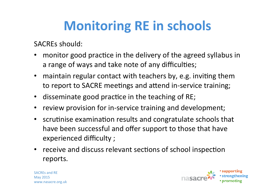## **Monitoring RE in schools**

SACREs should:

- monitor good practice in the delivery of the agreed syllabus in a range of ways and take note of any difficulties;
- maintain regular contact with teachers by, e.g. inviting them to report to SACRE meetings and attend in-service training;
- disseminate good practice in the teaching of RE;
- review provision for in-service training and development;
- scrutinise examination results and congratulate schools that have been successful and offer support to those that have experienced difficulty ;
- receive and discuss relevant sections of school inspection reports.



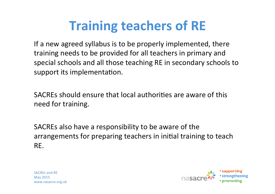# **Training teachers of RE**

If a new agreed syllabus is to be properly implemented, there training needs to be provided for all teachers in primary and special schools and all those teaching RE in secondary schools to support its implementation.

SACREs should ensure that local authorities are aware of this need for training.

SACREs also have a responsibility to be aware of the arrangements for preparing teachers in initial training to teach RE.



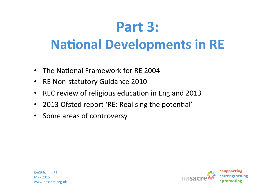# **Part 3:**

#### **National Developments in RE**

- The National Framework for RE 2004
- RE Non-statutory Guidance 2010
- REC review of religious education in England 2013
- 2013 Ofsted report 'RE: Realising the potential'
- Some areas of controversy

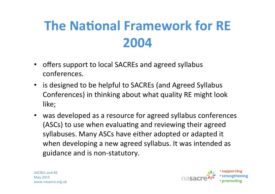# **The National Framework for RE 2004**

- offers support to local SACREs and agreed syllabus conferences.
- is designed to be helpful to SACREs (and Agreed Syllabus Conferences) in thinking about what quality RE might look like;
- was developed as a resource for agreed syllabus conferences (ASCs) to use when evaluating and reviewing their agreed syllabuses. Many ASCs have either adopted or adapted it when developing a new agreed syllabus. It was intended as guidance and is non-statutory.

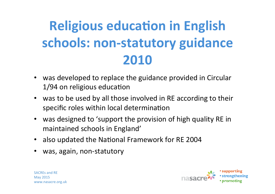# **Religious education in English schools: non-statutory guidance 2010**

- was developed to replace the guidance provided in Circular 1/94 on religious education
- was to be used by all those involved in RE according to their specific roles within local determination
- was designed to 'support the provision of high quality RE in maintained schools in England'
- also updated the National Framework for RE 2004
- was, again, non-statutory



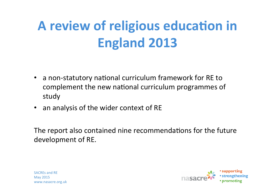# **A review of religious education in England 2013**

- a non-statutory national curriculum framework for RE to complement the new national curriculum programmes of study
- an analysis of the wider context of RE

The report also contained nine recommendations for the future development of RE.

SACREs and RF May 2015 www.nasacre.org.uk

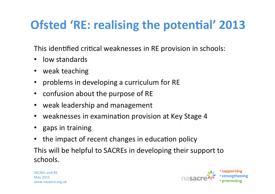#### **Ofsted 'RE: realising the potential' 2013**

This identified critical weaknesses in RE provision in schools:

- low standards
- weak teaching
- problems in developing a curriculum for RE
- confusion about the purpose of RE
- weak leadership and management
- weaknesses in examination provision at Key Stage 4
- gaps in training
- the impact of recent changes in education policy

This will be helpful to SACREs in developing their support to schools. 

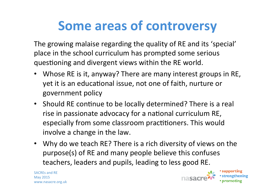#### **Some areas of controversy**

The growing malaise regarding the quality of RE and its 'special' place in the school curriculum has prompted some serious questioning and divergent views within the RE world.

- Whose RE is it, anyway? There are many interest groups in RE, yet it is an educational issue, not one of faith, nurture or government policy
- Should RE continue to be locally determined? There is a real rise in passionate advocacy for a national curriculum RE, especially from some classroom practitioners. This would involve a change in the law.
- Why do we teach RE? There is a rich diversity of views on the purpose(s) of RE and many people believe this confuses teachers, leaders and pupils, leading to less good RE.

SACREs and RF May 2015 www.nasacre.org.uk



• supporting • strengthening • promoting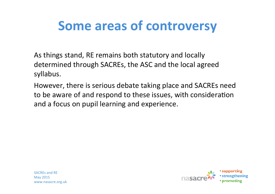#### **Some areas of controversy**

As things stand, RE remains both statutory and locally determined through SACREs, the ASC and the local agreed syllabus. 

However, there is serious debate taking place and SACREs need to be aware of and respond to these issues, with consideration and a focus on pupil learning and experience.



SACREs and RF May 2015 www.nasacre.org.uk